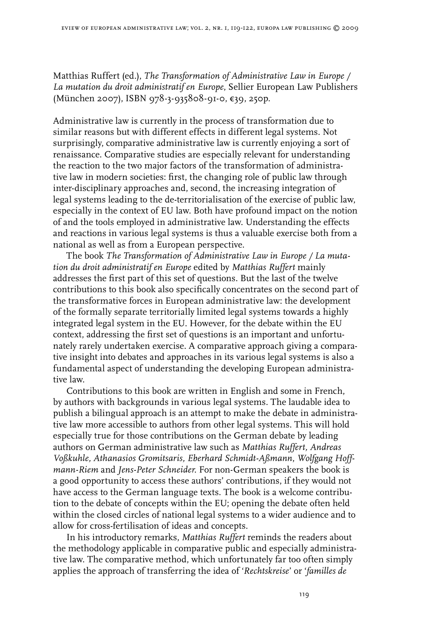Matthias Ruffert (ed.), *The Transformation of Administrative Law in Europe / La mutation du droit administratif en Europe*, Sellier European Law Publishers (München 2007), ISBN 978-3-935808-91-0, €39, 250p.

Administrative law is currently in the process of transformation due to similar reasons but with different effects in different legal systems. Not surprisingly, comparative administrative law is currently enjoying a sort of renaissance. Comparative studies are especially relevant for understanding the reaction to the two major factors of the transformation of administrative law in modern societies: first, the changing role of public law through inter-disciplinary approaches and, second, the increasing integration of legal systems leading to the de-territorialisation of the exercise of public law, especially in the context of EU law. Both have profound impact on the notion of and the tools employed in administrative law. Understanding the effects and reactions in various legal systems is thus a valuable exercise both from a national as well as from a European perspective.

The book *The Transformation of Administrative Law in Europe / La mutation du droit administratif en Europe* edited by *Matthias Ruffert* mainly addresses the first part of this set of questions. But the last of the twelve contributions to this book also specifically concentrates on the second part of the transformative forces in European administrative law: the development of the formally separate territorially limited legal systems towards a highly integrated legal system in the EU. However, for the debate within the EU context, addressing the first set of questions is an important and unfortunately rarely undertaken exercise. A comparative approach giving a comparative insight into debates and approaches in its various legal systems is also a fundamental aspect of understanding the developing European administrative law.

Contributions to this book are written in English and some in French, by authors with backgrounds in various legal systems. The laudable idea to publish a bilingual approach is an attempt to make the debate in administrative law more accessible to authors from other legal systems. This will hold especially true for those contributions on the German debate by leading authors on German administrative law such as *Matthias Ruffert, Andreas Voßkuhle, Athanasios Gromitsaris, Eberhard Schmidt-Aßmann*, *Wolfgang Hoffmann-Riem* and *Jens-Peter Schneider*. For non-German speakers the book is a good opportunity to access these authors' contributions, if they would not have access to the German language texts. The book is a welcome contribution to the debate of concepts within the EU; opening the debate often held within the closed circles of national legal systems to a wider audience and to allow for cross-fertilisation of ideas and concepts.

In his introductory remarks, *Matthias Ruffert* reminds the readers about the methodology applicable in comparative public and especially administrative law. The comparative method, which unfortunately far too often simply applies the approach of transferring the idea of '*Rechtskreise*' or '*familles de* 

119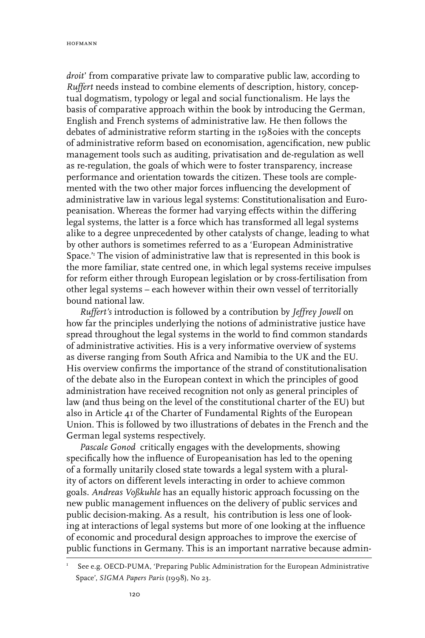*droit*' from comparative private law to comparative public law, according to *Ruffert* needs instead to combine elements of description, history, conceptual dogmatism, typology or legal and social functionalism. He lays the basis of comparative approach within the book by introducing the German, English and French systems of administrative law. He then follows the debates of administrative reform starting in the 1980ies with the concepts of administrative reform based on economisation, agencification, new public management tools such as auditing, privatisation and de-regulation as well as re-regulation, the goals of which were to foster transparency, increase performance and orientation towards the citizen. These tools are complemented with the two other major forces influencing the development of administrative law in various legal systems: Constitutionalisation and Europeanisation. Whereas the former had varying effects within the differing legal systems, the latter is a force which has transformed all legal systems alike to a degree unprecedented by other catalysts of change, leading to what by other authors is sometimes referred to as a 'European Administrative Space.'1 The vision of administrative law that is represented in this book is the more familiar, state centred one, in which legal systems receive impulses for reform either through European legislation or by cross-fertilisation from other legal systems – each however within their own vessel of territorially bound national law.

*Ruffert's* introduction is followed by a contribution by *Jeffrey Jowell* on how far the principles underlying the notions of administrative justice have spread throughout the legal systems in the world to find common standards of administrative activities. His is a very informative overview of systems as diverse ranging from South Africa and Namibia to the UK and the EU. His overview confirms the importance of the strand of constitutionalisation of the debate also in the European context in which the principles of good administration have received recognition not only as general principles of law (and thus being on the level of the constitutional charter of the EU) but also in Article 41 of the Charter of Fundamental Rights of the European Union. This is followed by two illustrations of debates in the French and the German legal systems respectively.

*Pascale Gonod* critically engages with the developments, showing specifically how the influence of Europeanisation has led to the opening of a formally unitarily closed state towards a legal system with a plurality of actors on different levels interacting in order to achieve common goals. *Andreas Voßkuhle* has an equally historic approach focussing on the new public management influences on the delivery of public services and public decision-making. As a result, his contribution is less one of looking at interactions of legal systems but more of one looking at the influence of economic and procedural design approaches to improve the exercise of public functions in Germany. This is an important narrative because admin-

<sup>1</sup> See e.g. OECD-PUMA, 'Preparing Public Administration for the European Administrative Space', *SIGMA Papers Paris* (1998)*,* No 23.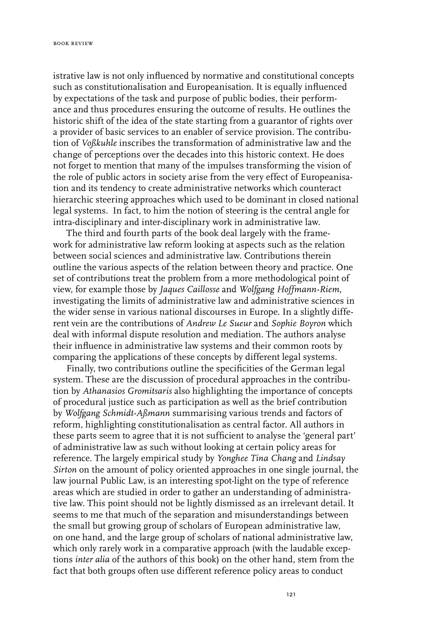istrative law is not only influenced by normative and constitutional concepts such as constitutionalisation and Europeanisation. It is equally influenced by expectations of the task and purpose of public bodies, their performance and thus procedures ensuring the outcome of results. He outlines the historic shift of the idea of the state starting from a guarantor of rights over a provider of basic services to an enabler of service provision. The contribution of *Voßkuhle* inscribes the transformation of administrative law and the change of perceptions over the decades into this historic context. He does not forget to mention that many of the impulses transforming the vision of the role of public actors in society arise from the very effect of Europeanisation and its tendency to create administrative networks which counteract hierarchic steering approaches which used to be dominant in closed national legal systems. In fact, to him the notion of steering is the central angle for intra-disciplinary and inter-disciplinary work in administrative law.

The third and fourth parts of the book deal largely with the framework for administrative law reform looking at aspects such as the relation between social sciences and administrative law. Contributions therein outline the various aspects of the relation between theory and practice. One set of contributions treat the problem from a more methodological point of view, for example those by *Jaques Caillosse* and *Wolfgang Hoffmann-Riem*, investigating the limits of administrative law and administrative sciences in the wider sense in various national discourses in Europe. In a slightly different vein are the contributions of *Andrew Le Sueur* and *Sophie Boyron* which deal with informal dispute resolution and mediation. The authors analyse their influence in administrative law systems and their common roots by comparing the applications of these concepts by different legal systems.

Finally, two contributions outline the specificities of the German legal system. These are the discussion of procedural approaches in the contribution by *Athanasios Gromitsaris* also highlighting the importance of concepts of procedural justice such as participation as well as the brief contribution by *Wolfgang Schmidt-Aßmann* summarising various trends and factors of reform, highlighting constitutionalisation as central factor. All authors in these parts seem to agree that it is not sufficient to analyse the 'general part' of administrative law as such without looking at certain policy areas for reference. The largely empirical study by *Yonghee Tina Chang* and *Lindsay Sirton* on the amount of policy oriented approaches in one single journal, the law journal Public Law, is an interesting spot-light on the type of reference areas which are studied in order to gather an understanding of administrative law. This point should not be lightly dismissed as an irrelevant detail. It seems to me that much of the separation and misunderstandings between the small but growing group of scholars of European administrative law, on one hand, and the large group of scholars of national administrative law, which only rarely work in a comparative approach (with the laudable exceptions *inter alia* of the authors of this book) on the other hand, stem from the fact that both groups often use different reference policy areas to conduct